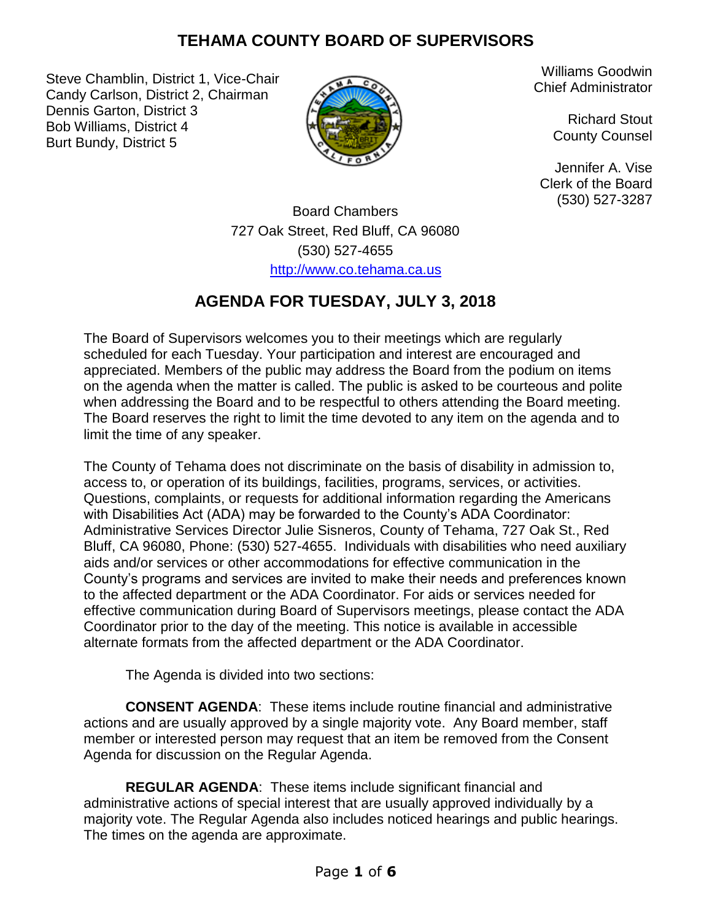### **TEHAMA COUNTY BOARD OF SUPERVISORS**

Steve Chamblin, District 1, Vice-Chair Candy Carlson, District 2, Chairman Dennis Garton, District 3 Bob Williams, District 4 Burt Bundy, District 5



Williams Goodwin Chief Administrator

> Richard Stout County Counsel

Jennifer A. Vise Clerk of the Board (530) 527-3287

Board Chambers 727 Oak Street, Red Bluff, CA 96080 (530) 527-4655 [http://www.co.tehama.ca.us](http://www.co.tehama.ca.us/)

# **AGENDA FOR TUESDAY, JULY 3, 2018**

The Board of Supervisors welcomes you to their meetings which are regularly scheduled for each Tuesday. Your participation and interest are encouraged and appreciated. Members of the public may address the Board from the podium on items on the agenda when the matter is called. The public is asked to be courteous and polite when addressing the Board and to be respectful to others attending the Board meeting. The Board reserves the right to limit the time devoted to any item on the agenda and to limit the time of any speaker.

The County of Tehama does not discriminate on the basis of disability in admission to, access to, or operation of its buildings, facilities, programs, services, or activities. Questions, complaints, or requests for additional information regarding the Americans with Disabilities Act (ADA) may be forwarded to the County's ADA Coordinator: Administrative Services Director Julie Sisneros, County of Tehama, 727 Oak St., Red Bluff, CA 96080, Phone: (530) 527-4655. Individuals with disabilities who need auxiliary aids and/or services or other accommodations for effective communication in the County's programs and services are invited to make their needs and preferences known to the affected department or the ADA Coordinator. For aids or services needed for effective communication during Board of Supervisors meetings, please contact the ADA Coordinator prior to the day of the meeting. This notice is available in accessible alternate formats from the affected department or the ADA Coordinator.

The Agenda is divided into two sections:

**CONSENT AGENDA**: These items include routine financial and administrative actions and are usually approved by a single majority vote. Any Board member, staff member or interested person may request that an item be removed from the Consent Agenda for discussion on the Regular Agenda.

**REGULAR AGENDA**: These items include significant financial and administrative actions of special interest that are usually approved individually by a majority vote. The Regular Agenda also includes noticed hearings and public hearings. The times on the agenda are approximate.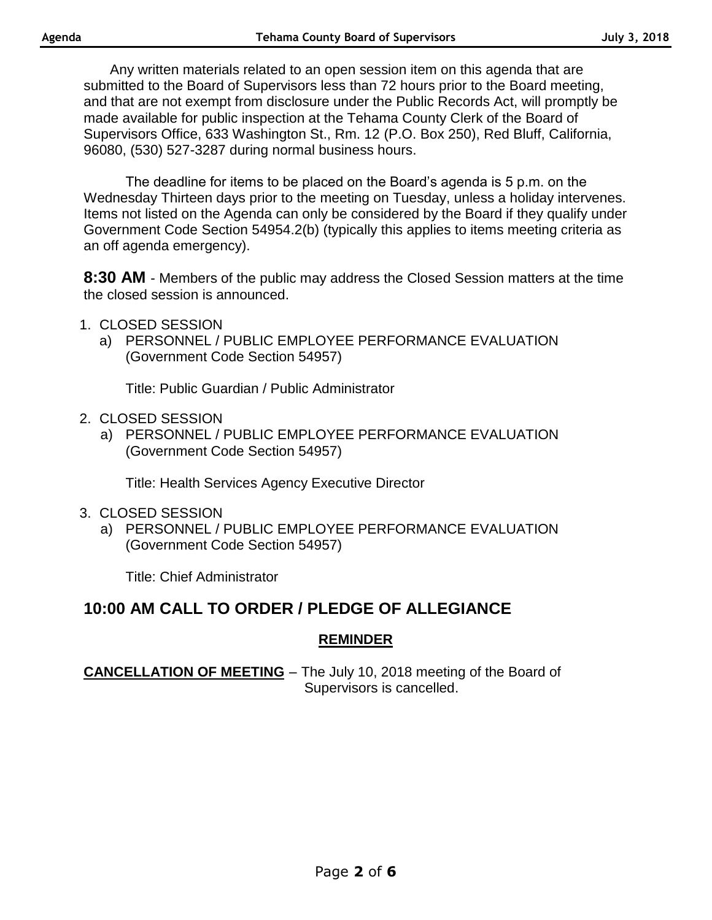Any written materials related to an open session item on this agenda that are submitted to the Board of Supervisors less than 72 hours prior to the Board meeting, and that are not exempt from disclosure under the Public Records Act, will promptly be made available for public inspection at the Tehama County Clerk of the Board of Supervisors Office, 633 Washington St., Rm. 12 (P.O. Box 250), Red Bluff, California, 96080, (530) 527-3287 during normal business hours.

The deadline for items to be placed on the Board's agenda is 5 p.m. on the Wednesday Thirteen days prior to the meeting on Tuesday, unless a holiday intervenes. Items not listed on the Agenda can only be considered by the Board if they qualify under Government Code Section 54954.2(b) (typically this applies to items meeting criteria as an off agenda emergency).

**8:30 AM** - Members of the public may address the Closed Session matters at the time the closed session is announced.

- 1. CLOSED SESSION
	- a) PERSONNEL / PUBLIC EMPLOYEE PERFORMANCE EVALUATION (Government Code Section 54957)

Title: Public Guardian / Public Administrator

- 2. CLOSED SESSION
	- a) PERSONNEL / PUBLIC EMPLOYEE PERFORMANCE EVALUATION (Government Code Section 54957)

Title: Health Services Agency Executive Director

- 3. CLOSED SESSION
	- a) PERSONNEL / PUBLIC EMPLOYEE PERFORMANCE EVALUATION (Government Code Section 54957)

Title: Chief Administrator

### **10:00 AM CALL TO ORDER / PLEDGE OF ALLEGIANCE**

#### **REMINDER**

**CANCELLATION OF MEETING** – The July 10, 2018 meeting of the Board of Supervisors is cancelled.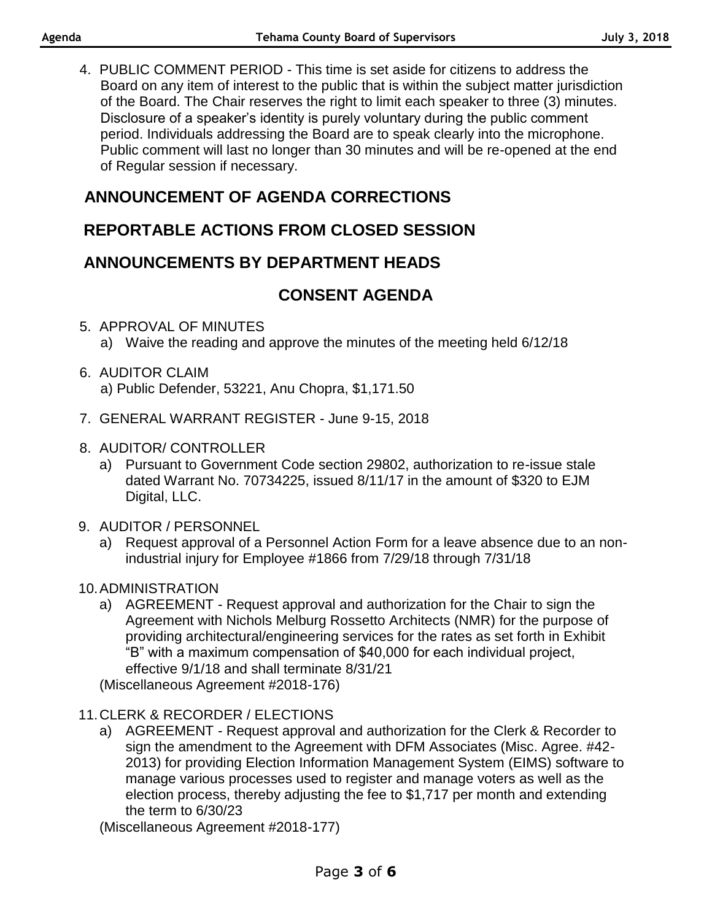4. PUBLIC COMMENT PERIOD - This time is set aside for citizens to address the Board on any item of interest to the public that is within the subject matter jurisdiction of the Board. The Chair reserves the right to limit each speaker to three (3) minutes. Disclosure of a speaker's identity is purely voluntary during the public comment period. Individuals addressing the Board are to speak clearly into the microphone. Public comment will last no longer than 30 minutes and will be re-opened at the end of Regular session if necessary.

## **ANNOUNCEMENT OF AGENDA CORRECTIONS**

## **REPORTABLE ACTIONS FROM CLOSED SESSION**

## **ANNOUNCEMENTS BY DEPARTMENT HEADS**

## **CONSENT AGENDA**

- 5. APPROVAL OF MINUTES a) Waive the reading and approve the minutes of the meeting held 6/12/18
- 6. AUDITOR CLAIM a) Public Defender, 53221, Anu Chopra, \$1,171.50
- 7. GENERAL WARRANT REGISTER June 9-15, 2018
- 8. AUDITOR/ CONTROLLER
	- a) Pursuant to Government Code section 29802, authorization to re-issue stale dated Warrant No. 70734225, issued 8/11/17 in the amount of \$320 to EJM Digital, LLC.
- 9. AUDITOR / PERSONNEL
	- a) Request approval of a Personnel Action Form for a leave absence due to an nonindustrial injury for Employee #1866 from 7/29/18 through 7/31/18

### 10.ADMINISTRATION

a) AGREEMENT - Request approval and authorization for the Chair to sign the Agreement with Nichols Melburg Rossetto Architects (NMR) for the purpose of providing architectural/engineering services for the rates as set forth in Exhibit "B" with a maximum compensation of \$40,000 for each individual project, effective 9/1/18 and shall terminate 8/31/21

(Miscellaneous Agreement #2018-176)

### 11.CLERK & RECORDER / ELECTIONS

a) AGREEMENT - Request approval and authorization for the Clerk & Recorder to sign the amendment to the Agreement with DFM Associates (Misc. Agree. #42- 2013) for providing Election Information Management System (EIMS) software to manage various processes used to register and manage voters as well as the election process, thereby adjusting the fee to \$1,717 per month and extending the term to 6/30/23

(Miscellaneous Agreement #2018-177)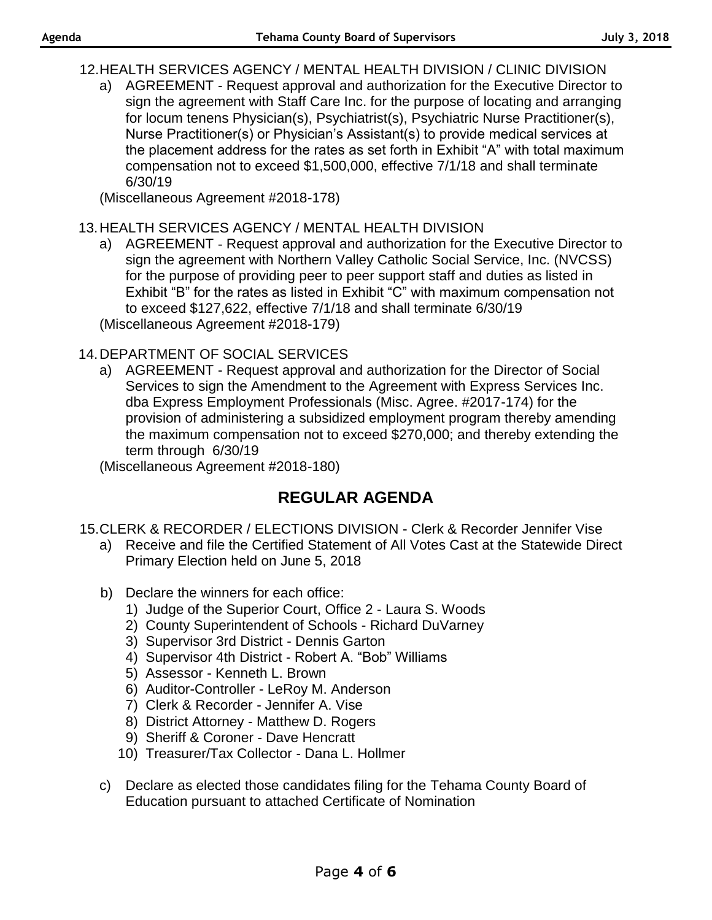12.HEALTH SERVICES AGENCY / MENTAL HEALTH DIVISION / CLINIC DIVISION

a) AGREEMENT - Request approval and authorization for the Executive Director to sign the agreement with Staff Care Inc. for the purpose of locating and arranging for locum tenens Physician(s), Psychiatrist(s), Psychiatric Nurse Practitioner(s), Nurse Practitioner(s) or Physician's Assistant(s) to provide medical services at the placement address for the rates as set forth in Exhibit "A" with total maximum compensation not to exceed \$1,500,000, effective 7/1/18 and shall terminate 6/30/19

(Miscellaneous Agreement #2018-178)

### 13.HEALTH SERVICES AGENCY / MENTAL HEALTH DIVISION

a) AGREEMENT - Request approval and authorization for the Executive Director to sign the agreement with Northern Valley Catholic Social Service, Inc. (NVCSS) for the purpose of providing peer to peer support staff and duties as listed in Exhibit "B" for the rates as listed in Exhibit "C" with maximum compensation not to exceed \$127,622, effective 7/1/18 and shall terminate 6/30/19 (Miscellaneous Agreement #2018-179)

### 14.DEPARTMENT OF SOCIAL SERVICES

a) AGREEMENT - Request approval and authorization for the Director of Social Services to sign the Amendment to the Agreement with Express Services Inc. dba Express Employment Professionals (Misc. Agree. #2017-174) for the provision of administering a subsidized employment program thereby amending the maximum compensation not to exceed \$270,000; and thereby extending the term through 6/30/19

(Miscellaneous Agreement #2018-180)

## **REGULAR AGENDA**

- 15.CLERK & RECORDER / ELECTIONS DIVISION Clerk & Recorder Jennifer Vise
	- a) Receive and file the Certified Statement of All Votes Cast at the Statewide Direct Primary Election held on June 5, 2018
	- b) Declare the winners for each office:
		- 1) Judge of the Superior Court, Office 2 Laura S. Woods
		- 2) County Superintendent of Schools Richard DuVarney
		- 3) Supervisor 3rd District Dennis Garton
		- 4) Supervisor 4th District Robert A. "Bob" Williams
		- 5) Assessor Kenneth L. Brown
		- 6) Auditor-Controller LeRoy M. Anderson
		- 7) Clerk & Recorder Jennifer A. Vise
		- 8) District Attorney Matthew D. Rogers
		- 9) Sheriff & Coroner Dave Hencratt
		- 10) Treasurer/Tax Collector Dana L. Hollmer
	- c) Declare as elected those candidates filing for the Tehama County Board of Education pursuant to attached Certificate of Nomination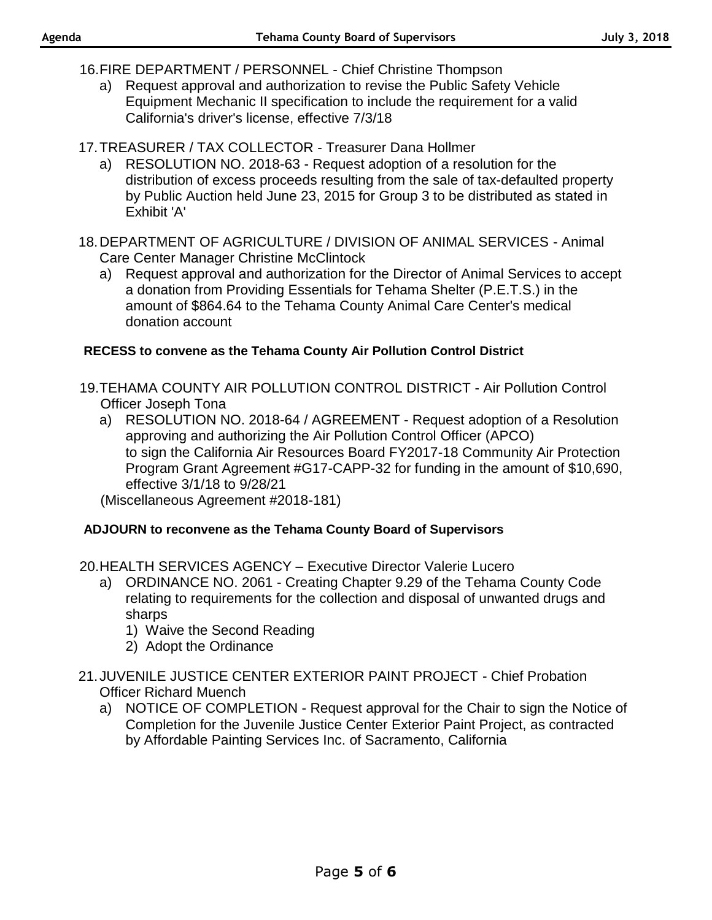- 16.FIRE DEPARTMENT / PERSONNEL Chief Christine Thompson
	- a) Request approval and authorization to revise the Public Safety Vehicle Equipment Mechanic II specification to include the requirement for a valid California's driver's license, effective 7/3/18
- 17.TREASURER / TAX COLLECTOR Treasurer Dana Hollmer
	- a) RESOLUTION NO. 2018-63 Request adoption of a resolution for the distribution of excess proceeds resulting from the sale of tax-defaulted property by Public Auction held June 23, 2015 for Group 3 to be distributed as stated in Exhibit 'A'
- 18.DEPARTMENT OF AGRICULTURE / DIVISION OF ANIMAL SERVICES Animal Care Center Manager Christine McClintock
	- a) Request approval and authorization for the Director of Animal Services to accept a donation from Providing Essentials for Tehama Shelter (P.E.T.S.) in the amount of \$864.64 to the Tehama County Animal Care Center's medical donation account

#### **RECESS to convene as the Tehama County Air Pollution Control District**

- 19.TEHAMA COUNTY AIR POLLUTION CONTROL DISTRICT Air Pollution Control Officer Joseph Tona
	- a) RESOLUTION NO. 2018-64 / AGREEMENT Request adoption of a Resolution approving and authorizing the Air Pollution Control Officer (APCO) to sign the California Air Resources Board FY2017-18 Community Air Protection Program Grant Agreement #G17-CAPP-32 for funding in the amount of \$10,690, effective 3/1/18 to 9/28/21

(Miscellaneous Agreement #2018-181)

#### **ADJOURN to reconvene as the Tehama County Board of Supervisors**

20.HEALTH SERVICES AGENCY – Executive Director Valerie Lucero

- a) ORDINANCE NO. 2061 Creating Chapter 9.29 of the Tehama County Code relating to requirements for the collection and disposal of unwanted drugs and sharps
	- 1) Waive the Second Reading
	- 2) Adopt the Ordinance
- 21.JUVENILE JUSTICE CENTER EXTERIOR PAINT PROJECT Chief Probation Officer Richard Muench
	- a) NOTICE OF COMPLETION Request approval for the Chair to sign the Notice of Completion for the Juvenile Justice Center Exterior Paint Project, as contracted by Affordable Painting Services Inc. of Sacramento, California